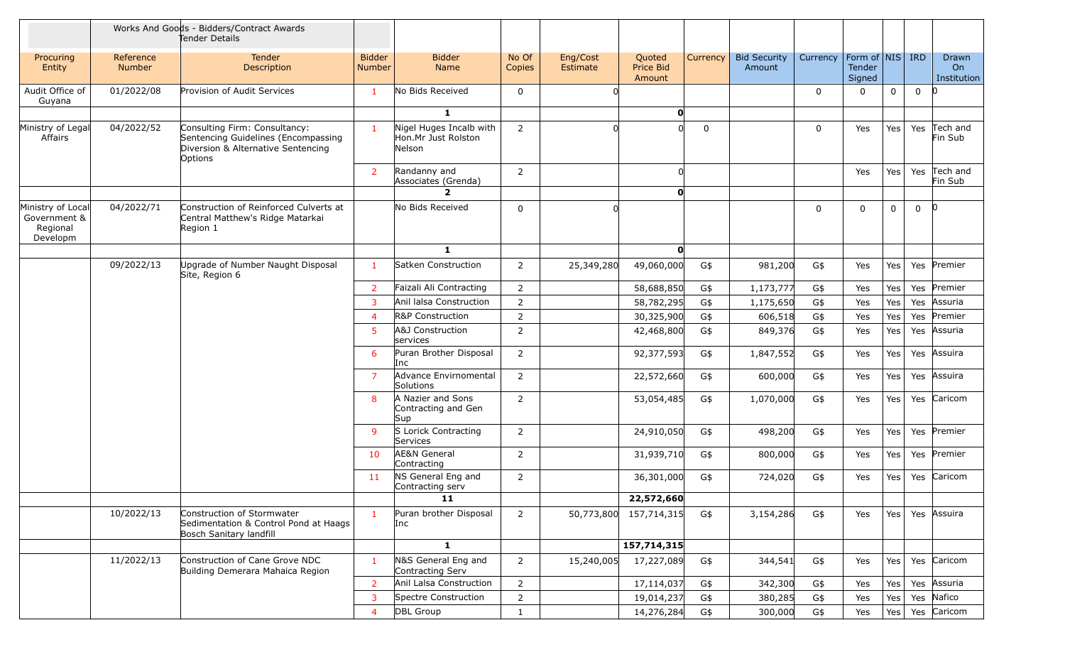|                                                           |                     | Works And Goods - Bidders/Contract Awards<br>Tender Details                                                           |                                |                                                          |                 |                      |                               |             |                               |          |                                         |     |             |                            |
|-----------------------------------------------------------|---------------------|-----------------------------------------------------------------------------------------------------------------------|--------------------------------|----------------------------------------------------------|-----------------|----------------------|-------------------------------|-------------|-------------------------------|----------|-----------------------------------------|-----|-------------|----------------------------|
| Procuring<br>Entity                                       | Reference<br>Number | Tender<br>Description                                                                                                 | <b>Bidder</b><br><b>Number</b> | <b>Bidder</b><br>Name                                    | No Of<br>Copies | Eng/Cost<br>Estimate | Quoted<br>Price Bid<br>Amount | Currency    | <b>Bid Security</b><br>Amount | Currency | Form of   NIS   IRD<br>Tender<br>Signed |     |             | Drawn<br>On<br>Institution |
| Audit Office of<br>Guyana                                 | 01/2022/08          | Provision of Audit Services                                                                                           | -1                             | No Bids Received                                         | $\mathbf{0}$    |                      |                               |             |                               | 0        | 0                                       | 0   | $\mathbf 0$ | 10                         |
|                                                           |                     |                                                                                                                       |                                | 1                                                        |                 |                      | $\mathbf{o}$                  |             |                               |          |                                         |     |             |                            |
| Ministry of Legal<br>Affairs                              | 04/2022/52          | Consulting Firm: Consultancy:<br>Sentencing Guidelines (Encompassing<br>Diversion & Alternative Sentencing<br>Options | $\mathbf{1}$                   | Nigel Huges Incalb with<br>Hon.Mr Just Rolston<br>Nelson | $\overline{2}$  |                      |                               | $\mathbf 0$ |                               | 0        | Yes                                     | Yes |             | Yes Tech and<br>Fin Sub    |
|                                                           |                     |                                                                                                                       | $\overline{2}$                 | Randanny and<br>Associates (Grenda)                      | 2               |                      |                               |             |                               |          | Yes                                     | Yes | Yes         | Tech and<br>Fin Sub        |
|                                                           |                     |                                                                                                                       |                                | $\overline{2}$                                           |                 |                      | $\mathbf{O}$                  |             |                               |          |                                         |     |             |                            |
| Ministry of Local<br>Government &<br>Regional<br>Developm | 04/2022/71          | Construction of Reinforced Culverts at<br>Central Matthew's Ridge Matarkai<br>Region 1                                |                                | No Bids Received                                         | $\mathbf 0$     |                      |                               |             |                               | 0        | $\mathbf 0$                             | 0   | 0           | 10                         |
|                                                           |                     |                                                                                                                       |                                | $\mathbf{1}$                                             |                 |                      | $\mathbf{O}$                  |             |                               |          |                                         |     |             |                            |
|                                                           | 09/2022/13          | Jpgrade of Number Naught Disposal<br>Site, Region 6                                                                   | $\mathbf{1}$                   | Satken Construction                                      | 2               | 25,349,280           | 49,060,000                    | G\$         | 981,200                       | G\$      | Yes                                     | Yes |             | Yes Premier                |
|                                                           |                     |                                                                                                                       | $\overline{2}$                 | Faizali Ali Contracting                                  | $\overline{2}$  |                      | 58,688,850                    | G\$         | 1,173,777                     | G\$      | Yes                                     | Yes | Yes         | Premier                    |
|                                                           |                     |                                                                                                                       | 3                              | Anil lalsa Construction                                  | $\overline{2}$  |                      | 58,782,295                    | G\$         | 1,175,650                     | G\$      | Yes                                     | Yes | Yes         | Assuria                    |
|                                                           |                     |                                                                                                                       | $\overline{4}$                 | <b>R&amp;P Construction</b>                              | $\overline{2}$  |                      | 30,325,900                    | G\$         | 606,518                       | G\$      | Yes                                     | Yes | Yes         | Premier                    |
|                                                           |                     |                                                                                                                       | 5                              | A&J Construction<br>services                             | 2               |                      | 42,468,800                    | G\$         | 849,376                       | G\$      | Yes                                     | Yes | Yes         | Assuria                    |
|                                                           |                     |                                                                                                                       | -6                             | Puran Brother Disposal<br>Inc                            | 2               |                      | 92,377,593                    | G\$         | 1,847,552                     | G\$      | Yes                                     | Yes |             | Yes Assuira                |
|                                                           |                     |                                                                                                                       | $\overline{7}$                 | Advance Envirnomental<br>Solutions                       | $\overline{2}$  |                      | 22,572,660                    | G\$         | 600,000                       | G\$      | Yes                                     | Yes |             | Yes Assuira                |
|                                                           |                     |                                                                                                                       | 8                              | A Nazier and Sons<br>Contracting and Gen<br>Sup          | $\overline{2}$  |                      | 53,054,485                    | G\$         | 1,070,000                     | G\$      | Yes                                     | Yes |             | Yes Caricom                |
|                                                           |                     |                                                                                                                       | 9                              | S Lorick Contracting<br>Services                         | 2               |                      | 24,910,050                    | G\$         | 498,200                       | G\$      | Yes                                     | Yes |             | Yes Premier                |
|                                                           |                     |                                                                                                                       | 10                             | <b>AE&amp;N</b> General<br>Contracting                   | $\overline{2}$  |                      | 31,939,710                    | G\$         | 800,000                       | G\$      | Yes                                     | Yes |             | Yes Premier                |
|                                                           |                     |                                                                                                                       | 11                             | NS General Eng and<br>Contracting serv                   | 2               |                      | 36,301,000                    | G\$         | 724,020                       | G\$      | Yes                                     | Yes |             | Yes Caricom                |
|                                                           |                     |                                                                                                                       |                                | 11                                                       |                 |                      | 22,572,660                    |             |                               |          |                                         |     |             |                            |
|                                                           | 10/2022/13          | Construction of Stormwater<br>Sedimentation & Control Pond at Haags<br>Bosch Sanitary landfill                        | $\mathbf{1}$                   | Puran brother Disposal<br>Inc                            | $\overline{2}$  | 50,773,800           | 157,714,315                   | G\$         | 3,154,286                     | G\$      | Yes                                     | Yes |             | Yes Assuira                |
|                                                           |                     |                                                                                                                       |                                | 1                                                        |                 |                      | 157,714,315                   |             |                               |          |                                         |     |             |                            |
|                                                           | 11/2022/13          | Construction of Cane Grove NDC<br>Building Demerara Mahaica Region                                                    | $\mathbf{1}$                   | N&S General Eng and<br>Contracting Serv                  | $\overline{2}$  | 15,240,005           | 17,227,089                    | G\$         | 344,541                       | G\$      | Yes                                     | Yes |             | Yes Caricom                |
|                                                           |                     |                                                                                                                       | $\overline{2}$                 | Anil Lalsa Construction                                  | $\overline{2}$  |                      | 17,114,037                    | G\$         | 342,300                       | G\$      | Yes                                     | Yes |             | Yes Assuria                |
|                                                           |                     |                                                                                                                       | $\overline{3}$                 | Spectre Construction                                     | $\overline{2}$  |                      | 19,014,237                    | G\$         | 380,285                       | G\$      | Yes                                     | Yes |             | Yes Nafico                 |
|                                                           |                     |                                                                                                                       | $\overline{4}$                 | DBL Group                                                | $\mathbf{1}$    |                      | 14,276,284                    | G\$         | 300,000                       | G\$      | Yes                                     | Yes |             | Yes Caricom                |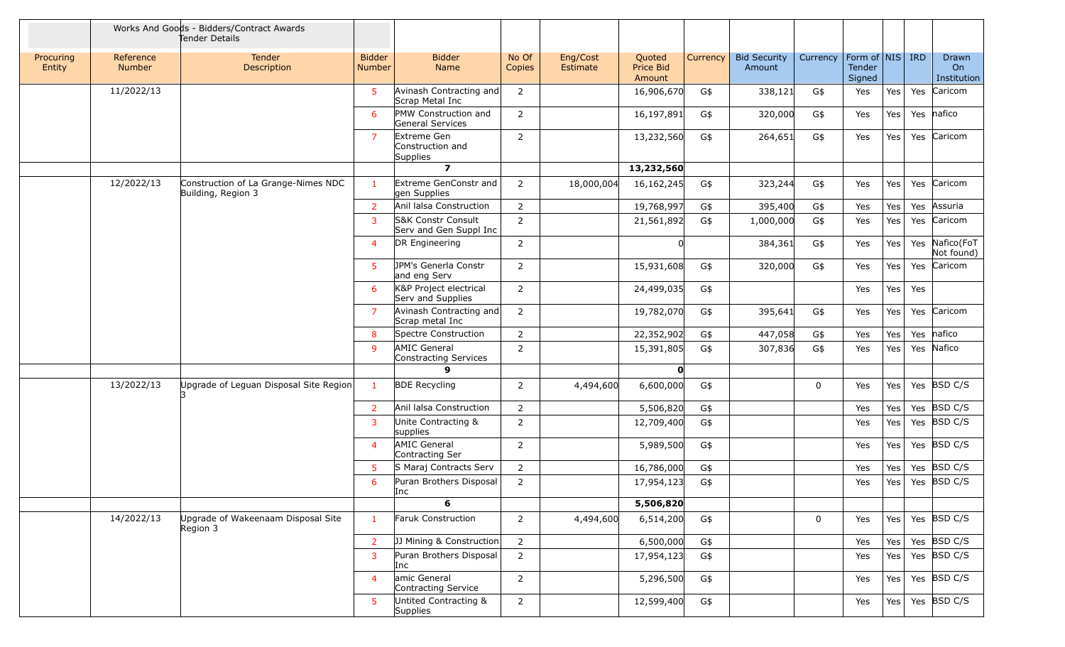|                     |                     | Works And Goods - Bidders/Contract Awards<br>Tender Details |                                |                                                    |                 |                      |                               |          |                               |             |                                       |     |     |                            |
|---------------------|---------------------|-------------------------------------------------------------|--------------------------------|----------------------------------------------------|-----------------|----------------------|-------------------------------|----------|-------------------------------|-------------|---------------------------------------|-----|-----|----------------------------|
| Procuring<br>Entity | Reference<br>Number | <b>Tender</b><br>Description                                | <b>Bidder</b><br><b>Number</b> | <b>Bidder</b><br>Name                              | No Of<br>Copies | Eng/Cost<br>Estimate | Quoted<br>Price Bid<br>Amount | Currency | <b>Bid Security</b><br>Amount | Currency    | Form of NIS   IRD<br>Tender<br>Signed |     |     | Drawn<br>On<br>Institution |
|                     | 11/2022/13          |                                                             | 5                              | Avinash Contracting and<br>Scrap Metal Inc         | 2               |                      | 16,906,670                    | G\$      | 338,121                       | G\$         | Yes                                   | Yes | Yes | Caricom                    |
|                     |                     |                                                             | 6                              | PMW Construction and<br>General Services           | $\overline{2}$  |                      | 16,197,891                    | G\$      | 320,000                       | G\$         | Yes                                   | Yes |     | Yes nafico                 |
|                     |                     |                                                             | $\overline{7}$                 | Extreme Gen<br>Construction and<br><b>Supplies</b> | 2               |                      | 13,232,560                    | G\$      | 264,651                       | G\$         | Yes                                   | Yes | Yes | Caricom                    |
|                     |                     |                                                             |                                | $\overline{ }$                                     |                 |                      | 13,232,560                    |          |                               |             |                                       |     |     |                            |
|                     | 12/2022/13          | Construction of La Grange-Nimes NDC<br>Building, Region 3   | $\mathbf{1}$                   | Extreme GenConstr and<br>gen Supplies              | $\overline{2}$  | 18,000,004           | 16, 162, 245                  | G\$      | 323,244                       | G\$         | Yes                                   | Yes | Yes | Caricom                    |
|                     |                     |                                                             | $\overline{2}$                 | Anil lalsa Construction                            | $\overline{2}$  |                      | 19,768,997                    | G\$      | 395,400                       | G\$         | Yes                                   | Yes | Yes | Assuria                    |
|                     |                     |                                                             | 3                              | S&K Constr Consult<br>Serv and Gen Suppl Inc       | 2               |                      | 21,561,892                    | G\$      | 1,000,000                     | G\$         | Yes                                   | Yes | Yes | Caricom                    |
|                     |                     |                                                             | $\overline{4}$                 | DR Engineering                                     | $\overline{2}$  |                      |                               |          | 384,361                       | G\$         | Yes                                   | Yes | Yes | Nafico(FoT<br>Not found)   |
|                     |                     |                                                             | -5                             | JPM's Generla Constr<br>and eng Serv               | $\overline{2}$  |                      | 15,931,608                    | G\$      | 320,000                       | G\$         | Yes                                   | Yes | Yes | Caricom                    |
|                     |                     |                                                             | 6                              | K&P Project electrical<br>Serv and Supplies        | 2               |                      | 24,499,035                    | G\$      |                               |             | Yes                                   | Yes | Yes |                            |
|                     |                     |                                                             | $\overline{7}$                 | Avinash Contracting and<br>Scrap metal Inc         | 2               |                      | 19,782,070                    | G\$      | 395,641                       | G\$         | Yes                                   | Yes | Yes | Caricom                    |
|                     |                     |                                                             | 8                              | Spectre Construction                               | $\overline{2}$  |                      | 22,352,902                    | G\$      | 447,058                       | G\$         | Yes                                   | Yes | Yes | nafico                     |
|                     |                     |                                                             | 9                              | <b>AMIC General</b><br>Constracting Services       | 2               |                      | 15,391,805                    | G\$      | 307,836                       | G\$         | Yes                                   | Yes | Yes | Nafico                     |
|                     |                     |                                                             |                                | 9                                                  |                 |                      | O                             |          |                               |             |                                       |     |     |                            |
|                     | 13/2022/13          | Upgrade of Leguan Disposal Site Region                      | $\mathbf{1}$                   | <b>BDE Recycling</b>                               | $\overline{2}$  | 4,494,600            | 6,600,000                     | G\$      |                               | 0           | Yes                                   | Yes |     | Yes BSD C/S                |
|                     |                     |                                                             | 2                              | Anil lalsa Construction                            | 2               |                      | 5,506,820                     | G\$      |                               |             | Yes                                   | Yes |     | Yes $ BSD C/S $            |
|                     |                     |                                                             | 3                              | Unite Contracting &<br>supplies                    | 2               |                      | 12,709,400                    | G\$      |                               |             | Yes                                   | Yes |     | Yes BSD C/S                |
|                     |                     |                                                             | $\overline{4}$                 | <b>AMIC General</b><br>Contracting Ser             | $\overline{2}$  |                      | 5,989,500                     | G\$      |                               |             | Yes                                   | Yes |     | Yes BSD C/S                |
|                     |                     |                                                             | 5                              | S Maraj Contracts Serv                             | $\overline{2}$  |                      | 16,786,000                    | G\$      |                               |             | Yes                                   | Yes |     | Yes $BSD C/S$              |
|                     |                     |                                                             | 6                              | Puran Brothers Disposal<br>Inc                     | 2               |                      | 17,954,123                    | G\$      |                               |             | Yes                                   | Yes |     | Yes BSD C/S                |
|                     |                     |                                                             |                                | 6                                                  |                 |                      | 5,506,820                     |          |                               |             |                                       |     |     |                            |
|                     | 14/2022/13          | Upgrade of Wakeenaam Disposal Site<br>Region 3              | $\blacksquare$                 | Faruk Construction                                 | $\overline{2}$  | 4,494,600            | 6,514,200                     | G\$      |                               | $\mathbf 0$ | Yes                                   | Yes |     | Yes $BSD C/S$              |
|                     |                     |                                                             | $\overline{2}$                 | JJ Mining & Construction                           | $\overline{2}$  |                      | 6,500,000                     | G\$      |                               |             | Yes                                   | Yes |     | Yes $BSD C/S$              |
|                     |                     |                                                             | 3                              | Puran Brothers Disposal<br>Inc                     | $\overline{2}$  |                      | 17,954,123                    | G\$      |                               |             | Yes                                   | Yes |     | Yes $BSD C/S$              |
|                     |                     |                                                             | $\overline{4}$                 | amic General<br>Contracting Service                | $\overline{2}$  |                      | 5,296,500                     | G\$      |                               |             | Yes                                   | Yes |     | Yes $ BSD C/S $            |
|                     |                     |                                                             | 5                              | Untited Contracting &<br>Supplies                  | $2^{\circ}$     |                      | 12,599,400                    | G\$      |                               |             | Yes                                   | Yes |     | Yes $BSD C/S$              |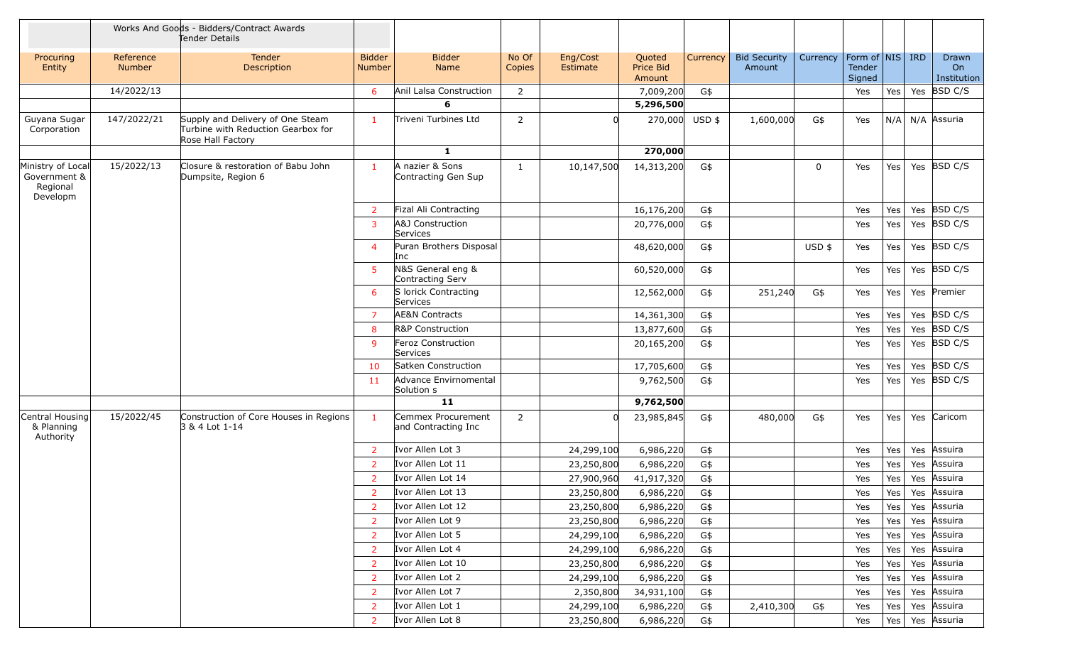|                                                           |                     | Works And Goods - Bidders/Contract Awards<br>Tender Details                                 |                                |                                           |                 |                      |                               |                |                               |          |                                       |     |     |                            |
|-----------------------------------------------------------|---------------------|---------------------------------------------------------------------------------------------|--------------------------------|-------------------------------------------|-----------------|----------------------|-------------------------------|----------------|-------------------------------|----------|---------------------------------------|-----|-----|----------------------------|
| Procuring<br>Entity                                       | Reference<br>Number | <b>Tender</b><br>Description                                                                | <b>Bidder</b><br><b>Number</b> | <b>Bidder</b><br><b>Name</b>              | No Of<br>Copies | Eng/Cost<br>Estimate | Quoted<br>Price Bid<br>Amount | Currency       | <b>Bid Security</b><br>Amount | Currency | Form of NIS   IRD<br>Tender<br>Signed |     |     | Drawn<br>On<br>Institution |
|                                                           | 14/2022/13          |                                                                                             | 6                              | Anil Lalsa Construction                   | $\overline{2}$  |                      | 7,009,200                     | G\$            |                               |          | Yes                                   | Yes |     | Yes BSD C/S                |
|                                                           |                     |                                                                                             |                                | 6                                         |                 |                      | 5,296,500                     |                |                               |          |                                       |     |     |                            |
| Guyana Sugar<br>Corporation                               | 147/2022/21         | Supply and Delivery of One Steam<br>Turbine with Reduction Gearbox for<br>Rose Hall Factory | -1                             | Triveni Turbines Ltd                      | 2               |                      |                               | 270,000 USD \$ | 1,600,000                     | G\$      | Yes                                   | N/A |     | N/A Assuria                |
|                                                           |                     |                                                                                             |                                | 1                                         |                 |                      | 270,000                       |                |                               |          |                                       |     |     |                            |
| Ministry of Local<br>Government &<br>Regional<br>Developm | 15/2022/13          | Closure & restoration of Babu John<br>Dumpsite, Region 6                                    | $\mathbf{1}$                   | A nazier & Sons<br>Contracting Gen Sup    | 1               | 10,147,500           | 14,313,200                    | G\$            |                               | $\Omega$ | Yes                                   | Yes |     | Yes BSD C/S                |
|                                                           |                     |                                                                                             | 2                              | Fizal Ali Contracting                     |                 |                      | 16,176,200                    | G\$            |                               |          | Yes                                   | Yes |     | Yes BSD C/S                |
|                                                           |                     |                                                                                             | 3                              | A&J Construction<br>Services              |                 |                      | 20,776,000                    | G\$            |                               |          | Yes                                   | Yes |     | Yes BSD C/S                |
|                                                           |                     |                                                                                             | 4                              | Puran Brothers Disposal<br>Inc            |                 |                      | 48,620,000                    | G\$            |                               | $USD$ \$ | Yes                                   | Yes |     | Yes $BSD C/S$              |
|                                                           |                     |                                                                                             | -5                             | N&S General eng &<br>Contracting Serv     |                 |                      | 60,520,000                    | G\$            |                               |          | Yes                                   | Yes |     | Yes BSD C/S                |
|                                                           |                     |                                                                                             | 6                              | S lorick Contracting<br>Services          |                 |                      | 12,562,000                    | G\$            | 251,240                       | G\$      | Yes                                   | Yes |     | Yes Premier                |
|                                                           |                     |                                                                                             | 7                              | <b>AE&amp;N Contracts</b>                 |                 |                      | 14,361,300                    | G\$            |                               |          | Yes                                   | Yes |     | Yes BSD C/S                |
|                                                           |                     |                                                                                             | 8                              | <b>R&amp;P Construction</b>               |                 |                      | 13,877,600                    | G\$            |                               |          | Yes                                   | Yes |     | Yes BSD C/S                |
|                                                           |                     |                                                                                             | 9                              | Feroz Construction<br>Services            |                 |                      | 20,165,200                    | G\$            |                               |          | Yes                                   | Yes |     | Yes BSD C/S                |
|                                                           |                     |                                                                                             | 10                             | Satken Construction                       |                 |                      | 17,705,600                    | G\$            |                               |          | Yes                                   | Yes |     | Yes BSD C/S                |
|                                                           |                     |                                                                                             | 11                             | Advance Envirnomental<br>Solution s       |                 |                      | 9,762,500                     | G\$            |                               |          | Yes                                   | Yes |     | Yes BSD C/S                |
|                                                           |                     |                                                                                             |                                | 11                                        |                 |                      | 9,762,500                     |                |                               |          |                                       |     |     |                            |
| Central Housing<br>& Planning<br>Authority                | 15/2022/45          | Construction of Core Houses in Regions<br>3 & 4 Lot 1-14                                    | $\mathbf{1}$                   | Cemmex Procurement<br>and Contracting Inc | 2               |                      | 23,985,845                    | G\$            | 480,000                       | G\$      | Yes                                   | Yes |     | Yes Caricom                |
|                                                           |                     |                                                                                             | 2                              | Ivor Allen Lot 3                          |                 | 24,299,100           | 6,986,220                     | G\$            |                               |          | Yes                                   | Yes | Yes | Assuira                    |
|                                                           |                     |                                                                                             | -2                             | Ivor Allen Lot 11                         |                 | 23,250,800           | 6,986,220                     | G\$            |                               |          | Yes                                   | Yes |     | Yes Assuira                |
|                                                           |                     |                                                                                             | $\overline{2}$                 | Ivor Allen Lot 14                         |                 | 27,900,960           | 41,917,320                    | G\$            |                               |          | Yes                                   | Yes |     | Yes Assuira                |
|                                                           |                     |                                                                                             | $2^{\circ}$                    | Ivor Allen Lot 13                         |                 | 23,250,800           | 6,986,220                     | $G$ \$         |                               |          | Yes                                   | Yes |     | Yes Assuira                |
|                                                           |                     |                                                                                             | 2                              | Ivor Allen Lot 12                         |                 | 23,250,800           | 6,986,220                     | G\$            |                               |          | Yes                                   | Yes |     | Yes Assuria                |
|                                                           |                     |                                                                                             | 2                              | Ivor Allen Lot 9                          |                 | 23,250,800           | 6,986,220                     | G\$            |                               |          | Yes                                   | Yes |     | Yes Assuira                |
|                                                           |                     |                                                                                             | 2                              | Ivor Allen Lot 5                          |                 | 24,299,100           | 6,986,220                     | G\$            |                               |          | Yes                                   | Yes |     | Yes Assuira                |
|                                                           |                     |                                                                                             | <sup>2</sup>                   | Ivor Allen Lot 4                          |                 | 24,299,100           | 6,986,220                     | G\$            |                               |          | Yes                                   | Yes |     | Yes Assuira                |
|                                                           |                     |                                                                                             | 2                              | Ivor Allen Lot 10                         |                 | 23,250,800           | 6,986,220                     | G\$            |                               |          | Yes                                   | Yes |     | Yes Assuria                |
|                                                           |                     |                                                                                             | 2                              | Ivor Allen Lot 2                          |                 | 24,299,100           | 6,986,220                     | G\$            |                               |          | Yes                                   | Yes |     | Yes Assuira                |
|                                                           |                     |                                                                                             | 2                              | Ivor Allen Lot 7                          |                 | 2,350,800            | 34,931,100                    | G\$            |                               |          | Yes                                   | Yes |     | Yes Assuira                |
|                                                           |                     |                                                                                             | 2                              | Ivor Allen Lot 1                          |                 | 24,299,100           | 6,986,220                     | G\$            | 2,410,300                     | G\$      | Yes                                   | Yes |     | Yes Assuira                |
|                                                           |                     |                                                                                             | <sup>2</sup>                   | Ivor Allen Lot 8                          |                 | 23,250,800           | 6,986,220                     | G\$            |                               |          | Yes                                   | Yes |     | Yes Assuria                |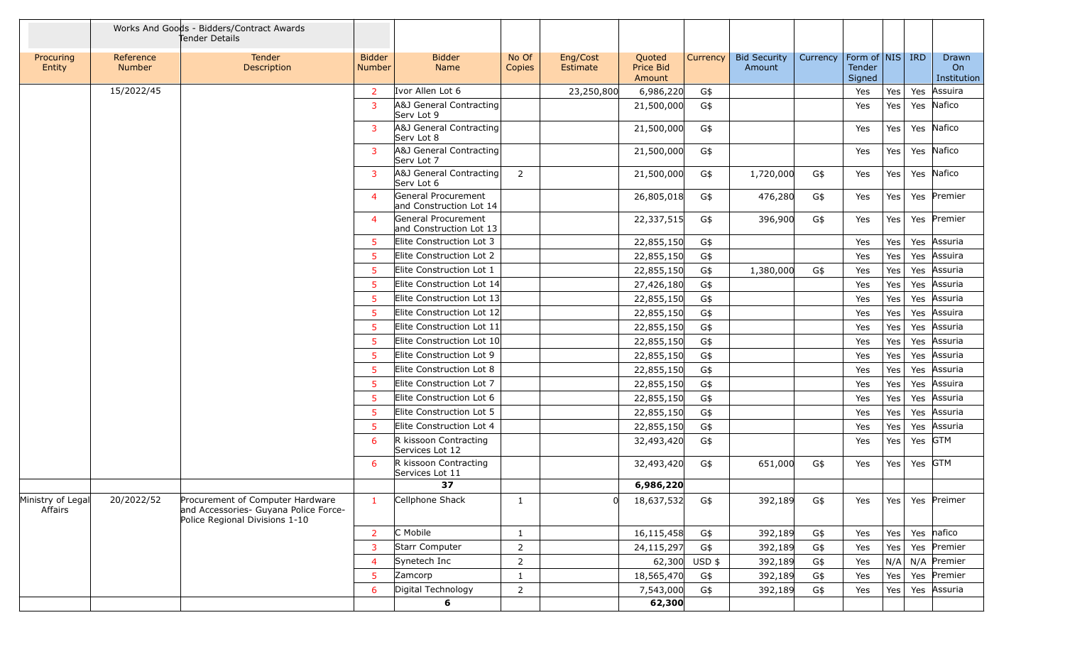|                              |                            | Works And Goods - Bidders/Contract Awards<br>Tender Details                                                 |                         |                                                |                 |                      |                               |          |                               |          |                                         |     |     |                            |
|------------------------------|----------------------------|-------------------------------------------------------------------------------------------------------------|-------------------------|------------------------------------------------|-----------------|----------------------|-------------------------------|----------|-------------------------------|----------|-----------------------------------------|-----|-----|----------------------------|
| Procuring<br>Entity          | Reference<br><b>Number</b> | Tender<br>Description                                                                                       | <b>Bidder</b><br>Number | <b>Bidder</b><br>Name                          | No Of<br>Copies | Eng/Cost<br>Estimate | Quoted<br>Price Bid<br>Amount | Currency | <b>Bid Security</b><br>Amount | Currency | Form of   NIS   IRD<br>Tender<br>Signed |     |     | Drawn<br>On<br>Institution |
|                              | 15/2022/45                 |                                                                                                             | 2                       | Ivor Allen Lot 6                               |                 | 23,250,800           | 6,986,220                     | G\$      |                               |          | Yes                                     | Yes | Yes | Assuira                    |
|                              |                            |                                                                                                             | 3                       | A&J General Contracting<br>Serv Lot 9          |                 |                      | 21,500,000                    | G\$      |                               |          | Yes                                     | Yes |     | Yes Nafico                 |
|                              |                            |                                                                                                             | 3                       | A&J General Contracting<br>Serv Lot 8          |                 |                      | 21,500,000                    | G\$      |                               |          | Yes                                     | Yes |     | Yes Nafico                 |
|                              |                            |                                                                                                             | 3                       | A&J General Contracting<br>Serv Lot 7          |                 |                      | 21,500,000                    | G\$      |                               |          | Yes                                     | Yes |     | Yes Nafico                 |
|                              |                            |                                                                                                             | 3                       | A&J General Contracting<br>Serv Lot 6          | $\overline{2}$  |                      | 21,500,000                    | G\$      | 1,720,000                     | G\$      | Yes                                     | Yes |     | Yes Nafico                 |
|                              |                            |                                                                                                             | 4                       | General Procurement<br>and Construction Lot 14 |                 |                      | 26,805,018                    | G\$      | 476,280                       | G\$      | Yes                                     | Yes |     | Yes Premier                |
|                              |                            |                                                                                                             | 4                       | General Procurement<br>and Construction Lot 13 |                 |                      | 22,337,515                    | G\$      | 396,900                       | G\$      | Yes                                     | Yes |     | Yes Premier                |
|                              |                            |                                                                                                             | 5                       | Elite Construction Lot 3                       |                 |                      | 22,855,150                    | G\$      |                               |          | Yes                                     | Yes |     | Yes Assuria                |
|                              |                            |                                                                                                             | 5                       | Elite Construction Lot 2                       |                 |                      | 22,855,150                    | G\$      |                               |          | Yes                                     | Yes | Yes | Assuira                    |
|                              |                            |                                                                                                             | 5                       | Elite Construction Lot 1                       |                 |                      | 22,855,150                    | G\$      | 1,380,000                     | G\$      | Yes                                     | Yes | Yes | Assuria                    |
|                              |                            |                                                                                                             | 5                       | Elite Construction Lot 14                      |                 |                      | 27,426,180                    | G\$      |                               |          | Yes                                     | Yes | Yes | Assuria                    |
|                              |                            |                                                                                                             | 5                       | Elite Construction Lot 13                      |                 |                      | 22,855,150                    | G\$      |                               |          | Yes                                     | Yes | Yes | Assuria                    |
|                              |                            |                                                                                                             | 5                       | Elite Construction Lot 12                      |                 |                      | 22,855,150                    | G\$      |                               |          | Yes                                     | Yes | Yes | Assuira                    |
|                              |                            |                                                                                                             | 5                       | Elite Construction Lot 11                      |                 |                      | 22,855,150                    | G\$      |                               |          | Yes                                     | Yes | Yes | Assuria                    |
|                              |                            |                                                                                                             | 5                       | Elite Construction Lot 10                      |                 |                      | 22,855,150                    | G\$      |                               |          | Yes                                     | Yes | Yes | Assuria                    |
|                              |                            |                                                                                                             | 5                       | Elite Construction Lot 9                       |                 |                      | 22,855,150                    | G\$      |                               |          | Yes                                     | Yes | Yes | Assuria                    |
|                              |                            |                                                                                                             | 5                       | Elite Construction Lot 8                       |                 |                      | 22,855,150                    | G\$      |                               |          | Yes                                     | Yes | Yes | Assuria                    |
|                              |                            |                                                                                                             | 5                       | Elite Construction Lot 7                       |                 |                      | 22,855,150                    | G\$      |                               |          | Yes                                     | Yes | Yes | Assuira                    |
|                              |                            |                                                                                                             | 5                       | Elite Construction Lot 6                       |                 |                      | 22,855,150                    | G\$      |                               |          | Yes                                     | Yes | Yes | Assuria                    |
|                              |                            |                                                                                                             | 5                       | Elite Construction Lot 5                       |                 |                      | 22,855,150                    | G\$      |                               |          | Yes                                     | Yes | Yes | Assuria                    |
|                              |                            |                                                                                                             | 5                       | Elite Construction Lot 4                       |                 |                      | 22,855,150                    | G\$      |                               |          | Yes                                     | Yes | Yes | Assuria                    |
|                              |                            |                                                                                                             | 6                       | R kissoon Contracting<br>Services Lot 12       |                 |                      | 32,493,420                    | G\$      |                               |          | Yes                                     | Yes |     | Yes GTM                    |
|                              |                            |                                                                                                             | 6                       | R kissoon Contracting<br>Services Lot 11       |                 |                      | 32,493,420                    | G\$      | 651,000                       | G\$      | Yes                                     | Yes |     | Yes GTM                    |
|                              |                            |                                                                                                             |                         | 37                                             |                 |                      | 6,986,220                     |          |                               |          |                                         |     |     |                            |
| Ministry of Legal<br>Affairs | 20/2022/52                 | Procurement of Computer Hardware<br>and Accessories- Guyana Police Force-<br>Police Regional Divisions 1-10 | $\mathbf{1}$            | Cellphone Shack                                | $\mathbf{1}$    |                      | 18,637,532                    | G\$      | 392,189                       | G\$      | Yes                                     | Yes |     | Yes Preimer                |
|                              |                            |                                                                                                             | 2                       | C Mobile                                       | $\mathbf{1}$    |                      | 16,115,458                    | G\$      | 392,189                       | G\$      | Yes                                     | Yes |     | Yes nafico                 |
|                              |                            |                                                                                                             | 3                       | Starr Computer                                 | $\overline{2}$  |                      | 24,115,297                    | G\$      | 392,189                       | G\$      | Yes                                     | Yes | Yes | Premier                    |
|                              |                            |                                                                                                             | $\overline{4}$          | Synetech Inc                                   | $\overline{2}$  |                      | 62,300                        | USD \$   | 392,189                       | G\$      | Yes                                     | N/A |     | N/A Premier                |
|                              |                            |                                                                                                             | 5                       | Zamcorp                                        | $\mathbf{1}$    |                      | 18,565,470                    | G\$      | 392,189                       | G\$      | Yes                                     | Yes | Yes | Premier                    |
|                              |                            |                                                                                                             | 6                       | Digital Technology                             | $\overline{2}$  |                      | 7,543,000                     | G\$      | 392,189                       | G\$      | Yes                                     | Yes |     | Yes Assuria                |
|                              |                            |                                                                                                             |                         | 6                                              |                 |                      | 62,300                        |          |                               |          |                                         |     |     |                            |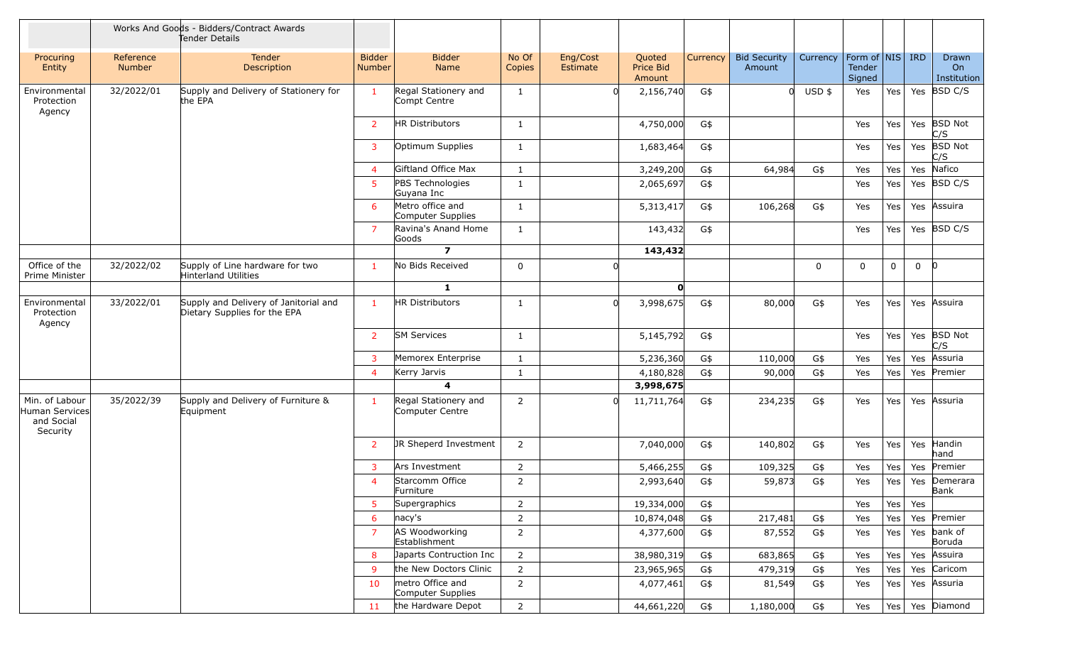|                                                            |                            | Works And Goods - Bidders/Contract Awards<br>Tender Details           |                                |                                         |                 |                      |                               |          |                               |          |                                       |              |          |                            |
|------------------------------------------------------------|----------------------------|-----------------------------------------------------------------------|--------------------------------|-----------------------------------------|-----------------|----------------------|-------------------------------|----------|-------------------------------|----------|---------------------------------------|--------------|----------|----------------------------|
| Procuring<br>Entity                                        | Reference<br><b>Number</b> | Tender<br>Description                                                 | <b>Bidder</b><br><b>Number</b> | <b>Bidder</b><br>Name                   | No Of<br>Copies | Eng/Cost<br>Estimate | Quoted<br>Price Bid<br>Amount | Currency | <b>Bid Security</b><br>Amount | Currency | Form of NIS   IRD<br>Tender<br>Signed |              |          | Drawn<br>On<br>Institution |
| Environmental<br>Protection<br>Agency                      | 32/2022/01                 | Supply and Delivery of Stationery for<br>the EPA                      | 1                              | Regal Stationery and<br>Compt Centre    | 1               |                      | 2,156,740                     | G\$      | n                             | $USD$ \$ | Yes                                   | Yes          |          | Yes BSD C/S                |
|                                                            |                            |                                                                       | $\overline{2}$                 | HR Distributors                         | 1               |                      | 4,750,000                     | G\$      |                               |          | Yes                                   | Yes          |          | Yes BSD Not<br>C/S         |
|                                                            |                            |                                                                       | 3                              | Optimum Supplies                        | $\mathbf{1}$    |                      | 1,683,464                     | G\$      |                               |          | Yes                                   | Yes          | Yes      | <b>BSD Not</b><br>C/S      |
|                                                            |                            |                                                                       | $\overline{4}$                 | Giftland Office Max                     | 1               |                      | 3,249,200                     | G\$      | 64,984                        | G\$      | Yes                                   | Yes          | Yes      | Nafico                     |
|                                                            |                            |                                                                       | 5                              | PBS Technologies<br>Guyana Inc          | $\mathbf{1}$    |                      | 2,065,697                     | G\$      |                               |          | Yes                                   | Yes          |          | Yes BSD C/S                |
|                                                            |                            |                                                                       | 6                              | Metro office and<br>Computer Supplies   | $\mathbf{1}$    |                      | 5,313,417                     | G\$      | 106,268                       | G\$      | Yes                                   | Yes          | Yes      | Assuira                    |
|                                                            |                            |                                                                       | $\overline{7}$                 | Ravina's Anand Home<br>Goods            | 1               |                      | 143,432                       | G\$      |                               |          | Yes                                   | Yes          |          | Yes BSD C/S                |
|                                                            |                            |                                                                       |                                | $\overline{\phantom{a}}$                |                 |                      | 143,432                       |          |                               |          |                                       |              |          |                            |
| Office of the<br>Prime Minister                            | 32/2022/02                 | Supply of Line hardware for two<br>Hinterland Utilities               | $\mathbf{1}$                   | No Bids Received                        | $\mathbf 0$     |                      |                               |          |                               | 0        | 0                                     | $\mathbf{0}$ | $\Omega$ | - 10                       |
|                                                            |                            |                                                                       |                                | $\mathbf{1}$                            |                 |                      | O                             |          |                               |          |                                       |              |          |                            |
| Environmental<br>Protection<br>Agency                      | 33/2022/01                 | Supply and Delivery of Janitorial and<br>Dietary Supplies for the EPA | 1                              | HR Distributors                         | 1               |                      | 3,998,675                     | G\$      | 80,000                        | G\$      | Yes                                   | Yes          |          | Yes Assuira                |
|                                                            |                            |                                                                       | 2                              | <b>SM Services</b>                      | 1               |                      | 5,145,792                     | G\$      |                               |          | Yes                                   | Yes          |          | Yes BSD Not<br>C/S         |
|                                                            |                            |                                                                       | 3                              | Memorex Enterprise                      | 1               |                      | 5,236,360                     | G\$      | 110,000                       | G\$      | Yes                                   | Yes          | Yes      | Assuria                    |
|                                                            |                            |                                                                       | $\overline{4}$                 | Kerry Jarvis                            | 1               |                      | 4,180,828                     | G\$      | 90,000                        | G\$      | Yes                                   | Yes          | Yes      | Premier                    |
|                                                            |                            |                                                                       |                                | 4                                       |                 |                      | 3,998,675                     |          |                               |          |                                       |              |          |                            |
| Min. of Labour<br>Human Services<br>and Social<br>Security | 35/2022/39                 | Supply and Delivery of Furniture &<br>Equipment                       | 1                              | Regal Stationery and<br>Computer Centre | $\overline{2}$  |                      | 11,711,764                    | G\$      | 234,235                       | G\$      | Yes                                   | Yes          | Yes      | Assuria                    |
|                                                            |                            |                                                                       | $\overline{2}$                 | JR Sheperd Investment                   | 2               |                      | 7,040,000                     | G\$      | 140,802                       | G\$      | Yes                                   | Yes          | Yes      | Handin<br>hand             |
|                                                            |                            |                                                                       | 3                              | Ars Investment                          | $\overline{2}$  |                      | 5,466,255                     | G\$      | 109,325                       | G\$      | Yes                                   | Yes          | Yes      | Premier                    |
|                                                            |                            |                                                                       | $\overline{4}$                 | Starcomm Office<br>Furniture            | $\overline{2}$  |                      | 2,993,640                     | G\$      | 59,873                        | G\$      | Yes                                   | Yes          | Yes      | Demerara<br>Bank           |
|                                                            |                            |                                                                       | 5                              | Supergraphics                           | $\overline{2}$  |                      | 19,334,000                    | G\$      |                               |          | Yes                                   | Yes          | Yes      |                            |
|                                                            |                            |                                                                       | 6                              | nacy's                                  | $\overline{2}$  |                      | 10,874,048                    | G\$      | 217,481                       | G\$      | Yes                                   | Yes          |          | Yes Premier                |
|                                                            |                            |                                                                       | $\overline{7}$                 | AS Woodworking<br>Establishment         | $\overline{2}$  |                      | 4,377,600                     | G\$      | 87,552                        | G\$      | Yes                                   | Yes          |          | Yes bank of<br>Boruda      |
|                                                            |                            |                                                                       | 8                              | Japarts Contruction Inc                 | $\overline{2}$  |                      | 38,980,319                    | G\$      | 683,865                       | G\$      | Yes                                   | Yes          | Yes      | Assuira                    |
|                                                            |                            |                                                                       | 9                              | the New Doctors Clinic                  | $\overline{2}$  |                      | 23,965,965                    | G\$      | 479,319                       | G\$      | Yes                                   | Yes          | Yes      | Caricom                    |
|                                                            |                            |                                                                       | 10                             | metro Office and<br>Computer Supplies   | $\overline{2}$  |                      | 4,077,461                     | G\$      | 81,549                        | G\$      | Yes                                   | Yes          |          | Yes Assuria                |
|                                                            |                            |                                                                       | 11                             | the Hardware Depot                      | $\overline{2}$  |                      | 44,661,220                    | G\$      | 1,180,000                     | G\$      | Yes                                   | Yes          |          | Yes Diamond                |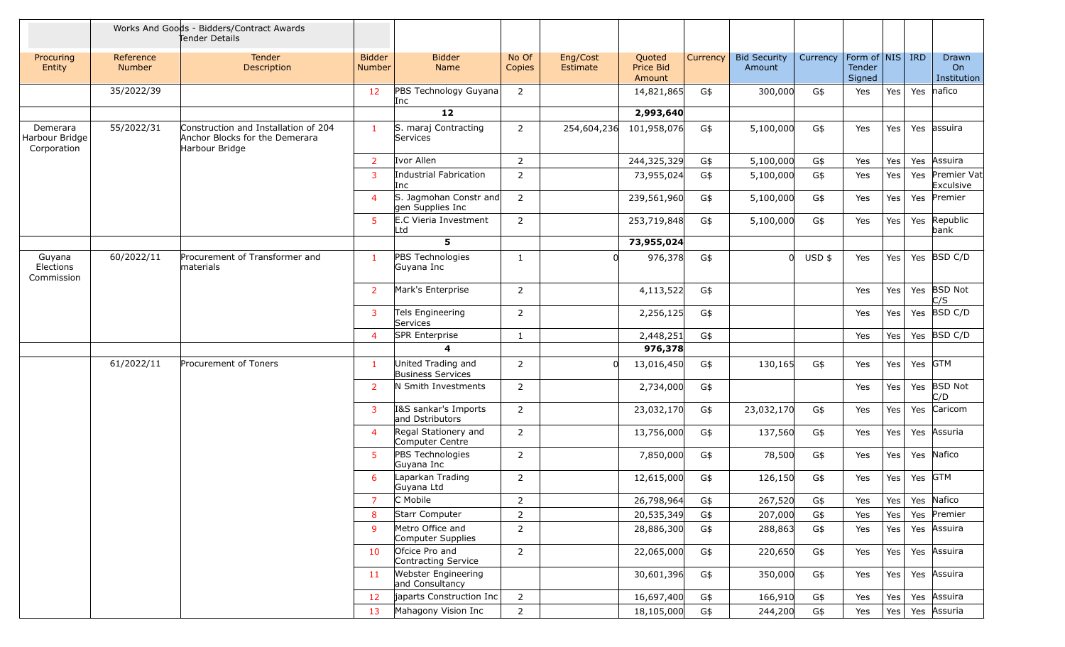|                                           |                     | Works And Goods - Bidders/Contract Awards<br>Tender Details                              |                                |                                                |                 |                      |                               |          |                               |          |                                       |     |     |                            |
|-------------------------------------------|---------------------|------------------------------------------------------------------------------------------|--------------------------------|------------------------------------------------|-----------------|----------------------|-------------------------------|----------|-------------------------------|----------|---------------------------------------|-----|-----|----------------------------|
| Procuring<br>Entity                       | Reference<br>Number | <b>Tender</b><br>Description                                                             | <b>Bidder</b><br><b>Number</b> | <b>Bidder</b><br>Name                          | No Of<br>Copies | Eng/Cost<br>Estimate | Quoted<br>Price Bid<br>Amount | Currency | <b>Bid Security</b><br>Amount | Currency | Form of NIS   IRD<br>Tender<br>Signed |     |     | Drawn<br>On<br>Institution |
|                                           | 35/2022/39          |                                                                                          | 12                             | PBS Technology Guyana<br>Inc                   | 2               |                      | 14,821,865                    | G\$      | 300,000                       | G\$      | Yes                                   | Yes | Yes | nafico                     |
|                                           |                     |                                                                                          |                                | 12                                             |                 |                      | 2,993,640                     |          |                               |          |                                       |     |     |                            |
| Demerara<br>Harbour Bridge<br>Corporation | 55/2022/31          | Construction and Installation of 204<br>Anchor Blocks for the Demerara<br>Harbour Bridge | 1                              | S. maraj Contracting<br>Services               | $\overline{2}$  | 254,604,236          | 101,958,076                   | G\$      | 5,100,000                     | G\$      | Yes                                   | Yes |     | Yes assuira                |
|                                           |                     |                                                                                          | $\overline{2}$                 | Ivor Allen                                     | $\overline{2}$  |                      | 244,325,329                   | G\$      | 5,100,000                     | G\$      | Yes                                   | Yes | Yes | Assuira                    |
|                                           |                     |                                                                                          | 3                              | Industrial Fabrication<br>Inc                  | $\overline{2}$  |                      | 73,955,024                    | G\$      | 5,100,000                     | G\$      | Yes                                   | Yes | Yes | Premier Vat<br>Exculsive   |
|                                           |                     |                                                                                          | $\overline{4}$                 | S. Jagmohan Constr and<br>gen Supplies Inc     | $\overline{2}$  |                      | 239,561,960                   | G\$      | 5,100,000                     | G\$      | Yes                                   | Yes | Yes | Premier                    |
|                                           |                     |                                                                                          | 5 <sup>1</sup>                 | E.C Vieria Investment<br>Ltd                   | $\overline{2}$  |                      | 253,719,848                   | G\$      | 5,100,000                     | G\$      | Yes                                   | Yes | Yes | Republic<br>bank           |
|                                           |                     |                                                                                          |                                | 5.                                             |                 |                      | 73,955,024                    |          |                               |          |                                       |     |     |                            |
| Guyana<br>Elections<br>Commission         | 60/2022/11          | Procurement of Transformer and<br>materials                                              | 1                              | PBS Technologies<br>Guyana Inc                 | 1               |                      | 976,378                       | G\$      | $\Omega$                      | $USD$ \$ | Yes                                   | Yes |     | Yes BSD C/D                |
|                                           |                     |                                                                                          | 2                              | Mark's Enterprise                              | $\overline{2}$  |                      | 4,113,522                     | G\$      |                               |          | Yes                                   | Yes |     | Yes BSD Not<br>C/S         |
|                                           |                     |                                                                                          | 3                              | Tels Engineering<br>Services                   | $\overline{2}$  |                      | 2,256,125                     | G\$      |                               |          | Yes                                   | Yes | Yes | BSD C/D                    |
|                                           |                     |                                                                                          | $\overline{4}$                 | SPR Enterprise                                 | -1              |                      | 2,448,251                     | G\$      |                               |          | Yes                                   | Yes |     | Yes BSD C/D                |
|                                           |                     |                                                                                          |                                | 4                                              |                 |                      | 976,378                       |          |                               |          |                                       |     |     |                            |
|                                           | 61/2022/11          | Procurement of Toners                                                                    | $\mathbf{1}$                   | United Trading and<br><b>Business Services</b> | 2               | ി                    | 13,016,450                    | G\$      | 130,165                       | G\$      | Yes                                   | Yes |     | Yes GTM                    |
|                                           |                     |                                                                                          | 2                              | N Smith Investments                            | $\overline{2}$  |                      | 2,734,000                     | G\$      |                               |          | Yes                                   | Yes |     | Yes BSD Not<br>C/D         |
|                                           |                     |                                                                                          | 3                              | I&S sankar's Imports<br>and Dstributors        | $\overline{2}$  |                      | 23,032,170                    | G\$      | 23,032,170                    | G\$      | Yes                                   | Yes | Yes | Caricom                    |
|                                           |                     |                                                                                          | $\overline{4}$                 | Regal Stationery and<br>Computer Centre        | $\overline{2}$  |                      | 13,756,000                    | G\$      | 137,560                       | G\$      | Yes                                   | Yes | Yes | Assuria                    |
|                                           |                     |                                                                                          | -5                             | PBS Technologies<br>Guyana Inc                 | $\overline{2}$  |                      | 7,850,000                     | G\$      | 78,500                        | G\$      | Yes                                   | Yes |     | Yes Nafico                 |
|                                           |                     |                                                                                          | 6                              | Laparkan Trading<br>Guyana Ltd                 | 2               |                      | 12,615,000                    | G\$      | 126,150                       | G\$      | Yes                                   | Yes |     | Yes GTM                    |
|                                           |                     |                                                                                          | $\overline{7}$                 | C Mobile                                       | $\overline{2}$  |                      | 26,798,964                    | G\$      | 267,520                       | G\$      | Yes                                   | Yes | Yes | Nafico                     |
|                                           |                     |                                                                                          | 8                              | Starr Computer                                 | $\overline{2}$  |                      | 20,535,349                    | G\$      | 207,000                       | G\$      | Yes                                   | Yes | Yes | Premier                    |
|                                           |                     |                                                                                          | $\mathbf{q}$                   | Metro Office and<br>Computer Supplies          | $\overline{2}$  |                      | 28,886,300                    | G\$      | 288,863                       | G\$      | Yes                                   | Yes | Yes | Assuira                    |
|                                           |                     |                                                                                          | 10                             | Ofcice Pro and<br>Contracting Service          | $\overline{2}$  |                      | 22,065,000                    | G\$      | 220,650                       | G\$      | Yes                                   | Yes |     | Yes Assuira                |
|                                           |                     |                                                                                          | 11                             | <b>Webster Engineering</b><br>and Consultancy  |                 |                      | 30,601,396                    | G\$      | 350,000                       | G\$      | Yes                                   | Yes |     | Yes Assuira                |
|                                           |                     |                                                                                          | 12                             | japarts Construction Inc                       | $\overline{2}$  |                      | 16,697,400                    | G\$      | 166,910                       | G\$      | Yes                                   | Yes |     | Yes Assuira                |
|                                           |                     |                                                                                          | 13                             | Mahagony Vision Inc                            | $\overline{2}$  |                      | 18,105,000                    | G\$      | 244,200                       | G\$      | Yes                                   | Yes |     | Yes Assuria                |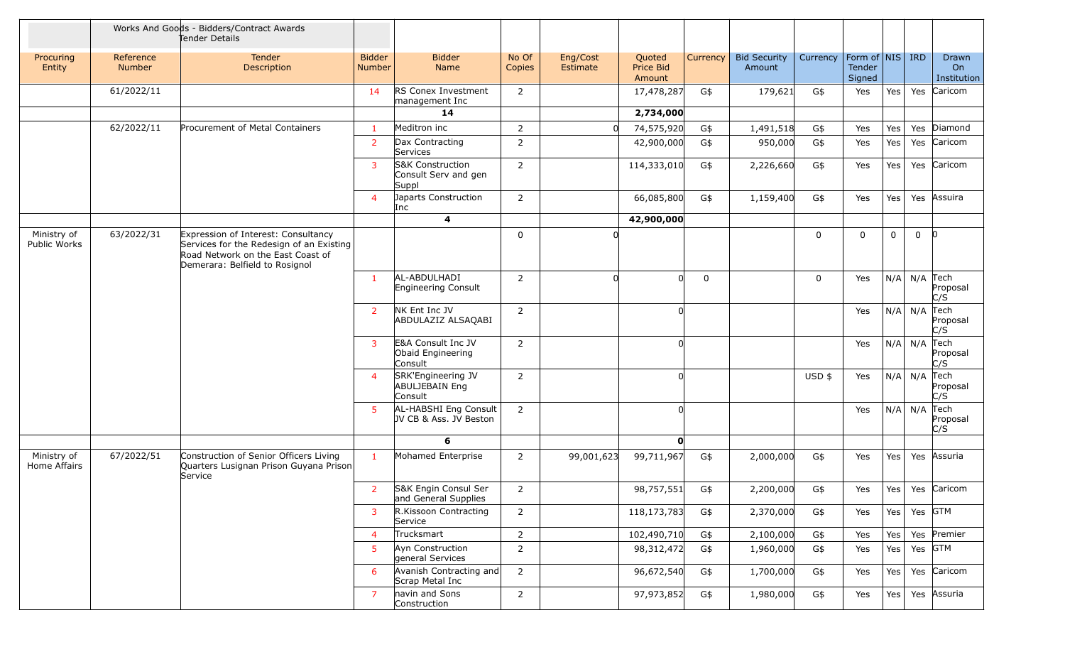|                             |                     | Works And Goods - Bidders/Contract Awards<br>Tender Details                                                                                            |                         |                                                    |                 |                      |                               |             |                               |             |                                         |             |              |                            |
|-----------------------------|---------------------|--------------------------------------------------------------------------------------------------------------------------------------------------------|-------------------------|----------------------------------------------------|-----------------|----------------------|-------------------------------|-------------|-------------------------------|-------------|-----------------------------------------|-------------|--------------|----------------------------|
| Procuring<br>Entity         | Reference<br>Number | Tender<br>Description                                                                                                                                  | <b>Bidder</b><br>Number | <b>Bidder</b><br>Name                              | No Of<br>Copies | Eng/Cost<br>Estimate | Quoted<br>Price Bid<br>Amount | Currency    | <b>Bid Security</b><br>Amount | Currency    | Form of   NIS   IRD<br>Tender<br>Signed |             |              | Drawn<br>On<br>Institution |
|                             | 61/2022/11          |                                                                                                                                                        | 14                      | RS Conex Investment<br>management Inc              | $\overline{2}$  |                      | 17,478,287                    | G\$         | 179,621                       | G\$         | Yes                                     | Yes         | Yes          | Caricom                    |
|                             |                     |                                                                                                                                                        |                         | 14                                                 |                 |                      | 2,734,000                     |             |                               |             |                                         |             |              |                            |
|                             | 62/2022/11          | Procurement of Metal Containers                                                                                                                        | -1                      | Meditron inc                                       | 2               | $\Omega$             | 74,575,920                    | G\$         | 1,491,518                     | G\$         | Yes                                     | Yes         |              | Yes Diamond                |
|                             |                     |                                                                                                                                                        | 2                       | Dax Contracting<br>Services                        | $\overline{2}$  |                      | 42,900,000                    | G\$         | 950,000                       | G\$         | Yes                                     | Yes         | Yes          | Caricom                    |
|                             |                     |                                                                                                                                                        | 3                       | S&K Construction<br>Consult Serv and gen<br>Suppl  | $\overline{2}$  |                      | 114,333,010                   | G\$         | 2,226,660                     | G\$         | Yes                                     | Yes         |              | Yes Caricom                |
|                             |                     |                                                                                                                                                        | $\overline{4}$          | Japarts Construction<br>Inc                        | $\overline{2}$  |                      | 66,085,800                    | G\$         | 1,159,400                     | G\$         | Yes                                     | Yes         |              | Yes Assuira                |
|                             |                     |                                                                                                                                                        |                         | $\overline{\mathbf{4}}$                            |                 |                      | 42,900,000                    |             |                               |             |                                         |             |              |                            |
| Ministry of<br>Public Works | 63/2022/31          | Expression of Interest: Consultancy<br>Services for the Redesign of an Existing<br>Road Network on the East Coast of<br>Demerara: Belfield to Rosignol |                         |                                                    | $\mathbf 0$     |                      |                               |             |                               | $\Omega$    | $\mathbf 0$                             | 0           | $\mathbf 0$  | 10                         |
|                             |                     |                                                                                                                                                        | -1                      | AL-ABDULHADI<br>Engineering Consult                | 2               | n                    | n                             | $\mathbf 0$ |                               | $\mathbf 0$ | Yes                                     |             | N/A N/A Tech | Proposal<br>C/S            |
|                             |                     |                                                                                                                                                        | 2                       | NK Ent Inc JV<br>ABDULAZIZ ALSAQABI                | 2               |                      |                               |             |                               |             | Yes                                     | $N/A$ $N/A$ |              | Tech<br>Proposal<br>C/S    |
|                             |                     |                                                                                                                                                        | 3                       | E&A Consult Inc JV<br>Obaid Engineering<br>Consult | $\overline{2}$  |                      | $\Omega$                      |             |                               |             | Yes                                     | $N/A$ $N/A$ |              | Tech<br>Proposal<br>C/S    |
|                             |                     |                                                                                                                                                        | $\overline{4}$          | SRK'Engineering JV<br>ABULJEBAIN Eng<br>Consult    | $\overline{2}$  |                      | $\Omega$                      |             |                               | $USD$ \$    | Yes                                     | $N/A$ $N/A$ |              | Tech<br>Proposal<br>C/S    |
|                             |                     |                                                                                                                                                        | 5                       | AL-HABSHI Eng Consult<br>JV CB & Ass. JV Beston    | $\overline{2}$  |                      | ŋ                             |             |                               |             | Yes                                     | $N/A$ $N/A$ |              | Tech<br>Proposal<br>C/S    |
|                             |                     |                                                                                                                                                        |                         | 6                                                  |                 |                      | $\Omega$                      |             |                               |             |                                         |             |              |                            |
| Ministry of<br>Home Affairs | 67/2022/51          | Construction of Senior Officers Living<br>Quarters Lusignan Prison Guyana Prison<br>Service                                                            | $\mathbf{1}$            | Mohamed Enterprise                                 | $\overline{2}$  | 99,001,623           | 99,711,967                    | G\$         | 2,000,000                     | G\$         | Yes                                     | Yes         |              | Yes Assuria                |
|                             |                     |                                                                                                                                                        | <sup>2</sup>            | S&K Engin Consul Ser<br>and General Supplies       | 2               |                      | 98,757,551                    | G\$         | 2,200,000                     | G\$         | Yes                                     | Yes $\vert$ |              | Yes Caricom                |
|                             |                     |                                                                                                                                                        | 3                       | R.Kissoon Contracting<br>Service                   | $\overline{2}$  |                      | 118,173,783                   | G\$         | 2,370,000                     | G\$         | Yes                                     | Yes $ $     | Yes GTM      |                            |
|                             |                     |                                                                                                                                                        | $\overline{4}$          | Trucksmart                                         | $\overline{2}$  |                      | 102,490,710                   | G\$         | 2,100,000                     | G\$         | Yes                                     | Yes         |              | Yes Premier                |
|                             |                     |                                                                                                                                                        | 5                       | Ayn Construction<br>general Services               | $\overline{2}$  |                      | 98,312,472                    | G\$         | 1,960,000                     | G\$         | Yes                                     | Yes         | Yes GTM      |                            |
|                             |                     |                                                                                                                                                        | 6                       | Avanish Contracting and<br>Scrap Metal Inc         | $\overline{2}$  |                      | 96,672,540                    | G\$         | 1,700,000                     | G\$         | Yes                                     | Yes         |              | Yes Caricom                |
|                             |                     |                                                                                                                                                        | 7                       | navin and Sons<br>Construction                     | $2^{\circ}$     |                      | 97,973,852                    | G\$         | 1,980,000                     | G\$         | Yes                                     | Yes         |              | Yes Assuria                |